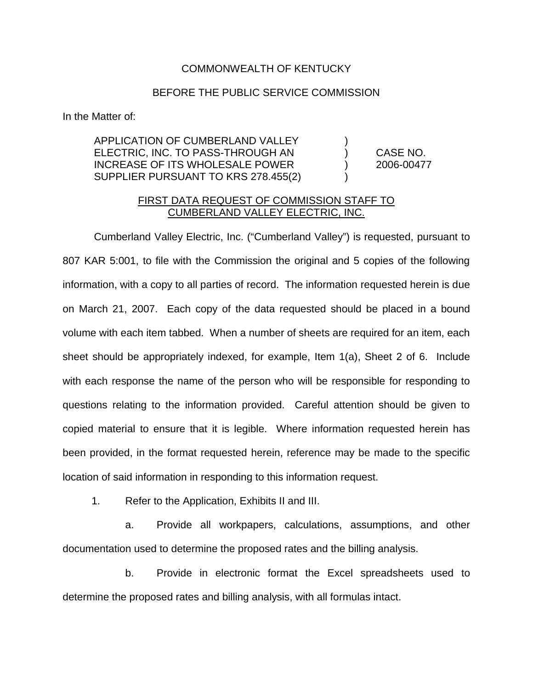## COMMONWEALTH OF KENTUCKY

## BEFORE THE PUBLIC SERVICE COMMISSION

In the Matter of:

APPLICATION OF CUMBERLAND VALLEY ) ELECTRIC, INC. TO PASS-THROUGH AN ) CASE NO. INCREASE OF ITS WHOLESALE POWER ) 2006-00477 SUPPLIER PURSUANT TO KRS 278.455(2)

## FIRST DATA REQUEST OF COMMISSION STAFF TO CUMBERLAND VALLEY ELECTRIC, INC.

Cumberland Valley Electric, Inc. ("Cumberland Valley") is requested, pursuant to 807 KAR 5:001, to file with the Commission the original and 5 copies of the following information, with a copy to all parties of record. The information requested herein is due on March 21, 2007. Each copy of the data requested should be placed in a bound volume with each item tabbed. When a number of sheets are required for an item, each sheet should be appropriately indexed, for example, Item 1(a), Sheet 2 of 6. Include with each response the name of the person who will be responsible for responding to questions relating to the information provided. Careful attention should be given to copied material to ensure that it is legible. Where information requested herein has been provided, in the format requested herein, reference may be made to the specific location of said information in responding to this information request.

1. Refer to the Application, Exhibits II and III.

a. Provide all workpapers, calculations, assumptions, and other documentation used to determine the proposed rates and the billing analysis.

b. Provide in electronic format the Excel spreadsheets used to determine the proposed rates and billing analysis, with all formulas intact.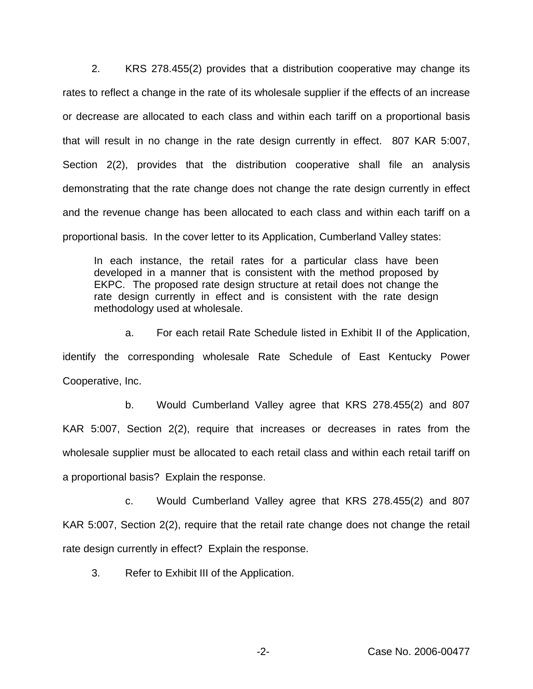2. KRS 278.455(2) provides that a distribution cooperative may change its rates to reflect a change in the rate of its wholesale supplier if the effects of an increase or decrease are allocated to each class and within each tariff on a proportional basis that will result in no change in the rate design currently in effect. 807 KAR 5:007, Section 2(2), provides that the distribution cooperative shall file an analysis demonstrating that the rate change does not change the rate design currently in effect and the revenue change has been allocated to each class and within each tariff on a proportional basis. In the cover letter to its Application, Cumberland Valley states:

In each instance, the retail rates for a particular class have been developed in a manner that is consistent with the method proposed by EKPC. The proposed rate design structure at retail does not change the rate design currently in effect and is consistent with the rate design methodology used at wholesale.

a. For each retail Rate Schedule listed in Exhibit II of the Application, identify the corresponding wholesale Rate Schedule of East Kentucky Power Cooperative, Inc.

b. Would Cumberland Valley agree that KRS 278.455(2) and 807 KAR 5:007, Section 2(2), require that increases or decreases in rates from the wholesale supplier must be allocated to each retail class and within each retail tariff on a proportional basis? Explain the response.

c. Would Cumberland Valley agree that KRS 278.455(2) and 807 KAR 5:007, Section 2(2), require that the retail rate change does not change the retail rate design currently in effect? Explain the response.

3. Refer to Exhibit III of the Application.